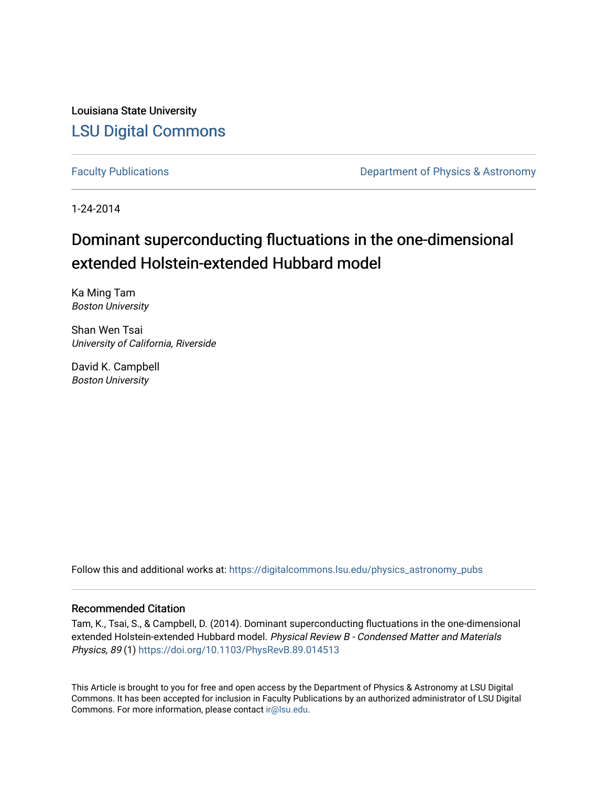Louisiana State University [LSU Digital Commons](https://digitalcommons.lsu.edu/)

[Faculty Publications](https://digitalcommons.lsu.edu/physics_astronomy_pubs) **Exercise 2 and Table 2 and Table 2 and Table 2 and Table 2 and Table 2 and Table 2 and Table 2 and Table 2 and Table 2 and Table 2 and Table 2 and Table 2 and Table 2 and Table 2 and Table 2 and Table** 

1-24-2014

# Dominant superconducting fluctuations in the one-dimensional extended Holstein-extended Hubbard model

Ka Ming Tam Boston University

Shan Wen Tsai University of California, Riverside

David K. Campbell Boston University

Follow this and additional works at: [https://digitalcommons.lsu.edu/physics\\_astronomy\\_pubs](https://digitalcommons.lsu.edu/physics_astronomy_pubs?utm_source=digitalcommons.lsu.edu%2Fphysics_astronomy_pubs%2F5374&utm_medium=PDF&utm_campaign=PDFCoverPages) 

## Recommended Citation

Tam, K., Tsai, S., & Campbell, D. (2014). Dominant superconducting fluctuations in the one-dimensional extended Holstein-extended Hubbard model. Physical Review B - Condensed Matter and Materials Physics, 89 (1) <https://doi.org/10.1103/PhysRevB.89.014513>

This Article is brought to you for free and open access by the Department of Physics & Astronomy at LSU Digital Commons. It has been accepted for inclusion in Faculty Publications by an authorized administrator of LSU Digital Commons. For more information, please contact [ir@lsu.edu](mailto:ir@lsu.edu).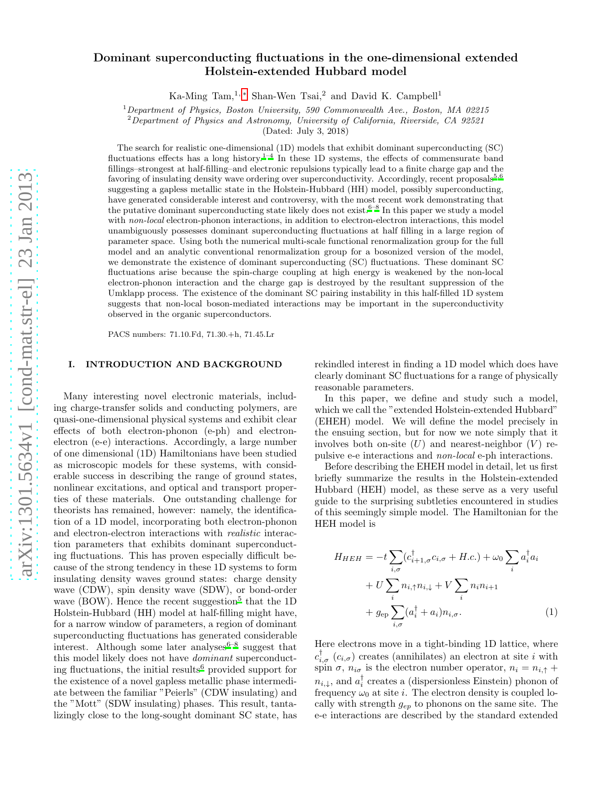## Dominant superconducting fluctuations in the one-dimensional extended Holstein-extended Hubbard model

Ka-Ming Tam,<sup>1,\*</sup> Shan-Wen Tsai,<sup>2</sup> and David K. Campbell<sup>1</sup>

<sup>1</sup>*Department of Physics, Boston University, 590 Commonwealth Ave., Boston, MA 02215*

<sup>2</sup>*Department of Physics and Astronomy, University of California, Riverside, CA 92521*

(Dated: July 3, 2018)

The search for realistic one-dimensional (1D) models that exhibit dominant superconducting (SC) fluctuations effects has a long history.<sup>[1](#page-7-1)[–4](#page-7-2)</sup> In these 1D systems, the effects of commensurate band fillings–strongest at half-filling–and electronic repulsions typically lead to a finite charge gap and the favoring of insulating density wave ordering over superconductivity. Accordingly, recent proposals<sup>[5](#page-7-3)[,6](#page-7-4)</sup> suggesting a gapless metallic state in the Holstein-Hubbard (HH) model, possibly superconducting, have generated considerable interest and controversy, with the most recent work demonstrating that the putative dominant superconducting state likely does not exist[.](#page-7-4)  $6-8$  In this paper we study a model with *non-local* electron-phonon interactions, in addition to electron-electron interactions, this model unambiguously possesses dominant superconducting fluctuations at half filling in a large region of parameter space. Using both the numerical multi-scale functional renormalization group for the full model and an analytic conventional renormalization group for a bosonized version of the model, we demonstrate the existence of dominant superconducting (SC) fluctuations. These dominant SC fluctuations arise because the spin-charge coupling at high energy is weakened by the non-local electron-phonon interaction and the charge gap is destroyed by the resultant suppression of the Umklapp process. The existence of the dominant SC pairing instability in this half-filled 1D system suggests that non-local boson-mediated interactions may be important in the superconductivity observed in the organic superconductors.

PACS numbers: 71.10.Fd, 71.30.+h, 71.45.Lr

### I. INTRODUCTION AND BACKGROUND

Many interesting novel electronic materials, including charge-transfer solids and conducting polymers, are quasi-one-dimensional physical systems and exhibit clear effects of both electron-phonon (e-ph) and electronelectron (e-e) interactions. Accordingly, a large number of one dimensional (1D) Hamiltonians have been studied as microscopic models for these systems, with considerable success in describing the range of ground states, nonlinear excitations, and optical and transport properties of these materials. One outstanding challenge for theorists has remained, however: namely, the identification of a 1D model, incorporating both electron-phonon and electron-electron interactions with realistic interaction parameters that exhibits dominant superconducting fluctuations. This has proven especially difficult because of the strong tendency in these 1D systems to form insulating density waves ground states: charge density wave (CDW), spin density wave (SDW), or bond-order wave (BOW). Hence the recent suggestion<sup>[5](#page-7-3)</sup> that the 1D Holstein-Hubbard (HH) model at half-filling might have, for a narrow window of parameters, a region of dominant superconducting fluctuations has generated considerable interest. Although some later analyses  $6-8$  $6-8$  suggest that this model likely does not have dominant superconduct-ing fluctuations, the initial results<sup>[6](#page-7-4)</sup> provided support for the existence of a novel gapless metallic phase intermediate between the familiar "Peierls" (CDW insulating) and the "Mott" (SDW insulating) phases. This result, tantalizingly close to the long-sought dominant SC state, has

rekindled interest in finding a 1D model which does have clearly dominant SC fluctuations for a range of physically reasonable parameters.

In this paper, we define and study such a model, which we call the "extended Holstein-extended Hubbard" (EHEH) model. We will define the model precisely in the ensuing section, but for now we note simply that it involves both on-site  $(U)$  and nearest-neighbor  $(V)$  repulsive e-e interactions and non-local e-ph interactions.

Before describing the EHEH model in detail, let us first briefly summarize the results in the Holstein-extended Hubbard (HEH) model, as these serve as a very useful guide to the surprising subtleties encountered in studies of this seemingly simple model. The Hamiltonian for the HEH model is

<span id="page-1-0"></span>
$$
H_{HEH} = -t \sum_{i,\sigma} (c_{i+1,\sigma}^{\dagger} c_{i,\sigma} + H.c.) + \omega_0 \sum_i a_i^{\dagger} a_i
$$

$$
+ U \sum_i n_{i,\uparrow} n_{i,\downarrow} + V \sum_i n_i n_{i+1}
$$

$$
+ g_{ep} \sum_{i,\sigma} (a_i^{\dagger} + a_i) n_{i,\sigma}.
$$
(1)

Here electrons move in a tight-binding 1D lattice, where  $c_{i,\sigma}^{\dagger}$  ( $c_{i,\sigma}$ ) creates (annihilates) an electron at site i with spin  $\sigma$ ,  $n_{i\sigma}$  is the electron number operator,  $n_i = n_{i,\uparrow} +$  $n_{i,\downarrow}$ , and  $a_i^{\dagger}$  creates a (dispersionless Einstein) phonon of frequency  $\omega_0$  at site *i*. The electron density is coupled locally with strength  $g_{ep}$  to phonons on the same site. The e-e interactions are described by the standard extended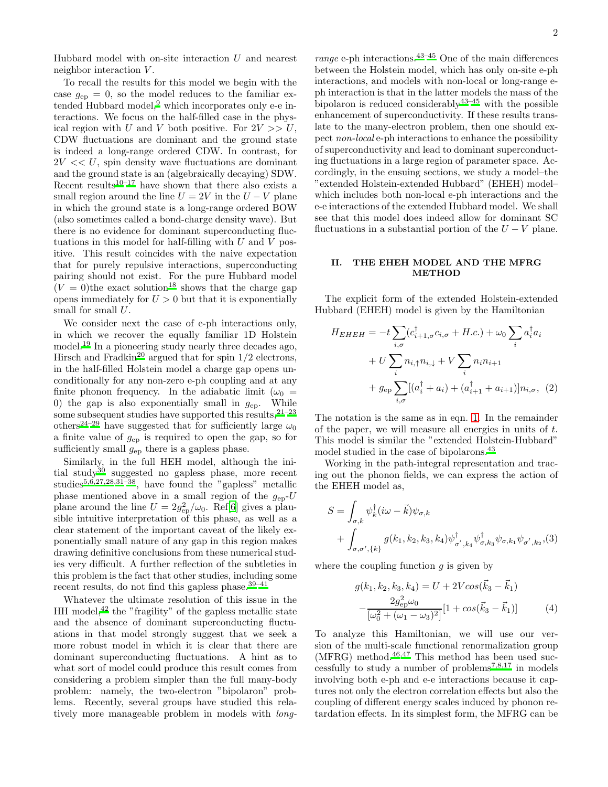Hubbard model with on-site interaction  $U$  and nearest neighbor interaction  $V$ .

To recall the results for this model we begin with the case  $g_{ep} = 0$ , so the model reduces to the familiar extended Hubbard model, $9$  which incorporates only e-e interactions. We focus on the half-filled case in the physical region with U and V both positive. For  $2V \gg U$ , CDW fluctuations are dominant and the ground state is indeed a long-range ordered CDW. In contrast, for  $2V \ll U$ , spin density wave fluctuations are dominant and the ground state is an (algebraically decaying) SDW. Recent results<sup>[10](#page-7-7)[–17](#page-7-8)</sup> have shown that there also exists a small region around the line  $U = 2V$  in the  $U - V$  plane in which the ground state is a long-range ordered BOW (also sometimes called a bond-charge density wave). But there is no evidence for dominant superconducting fluctuations in this model for half-filling with  $U$  and  $V$  positive. This result coincides with the naive expectation that for purely repulsive interactions, superconducting pairing should not exist. For the pure Hubbard model  $(V = 0)$ the exact solution<sup>[18](#page-7-9)</sup> shows that the charge gap opens immediately for  $U > 0$  but that it is exponentially small for small  $U$ .

We consider next the case of e-ph interactions only, in which we recover the equally familiar 1D Holstein model.[19](#page-7-10) In a pioneering study nearly three decades ago, Hirsch and Fradkin<sup>[20](#page-7-11)</sup> argued that for spin  $1/2$  electrons, in the half-filled Holstein model a charge gap opens unconditionally for any non-zero e-ph coupling and at any finite phonon frequency. In the adiabatic limit ( $\omega_0$  = 0) the gap is also exponentially small in  $g_{ep}$ . While some subsequent studies have supported this results,  $21-23$  $21-23$ others<sup>[24](#page-7-14)[–29](#page-7-15)</sup> have suggested that for sufficiently large  $\omega_0$ a finite value of  $g_{ep}$  is required to open the gap, so for sufficiently small  $g_{\text{ep}}$  there is a gapless phase.

Similarly, in the full HEH model, although the ini-tial study<sup>[30](#page-7-16)</sup> suggested no gapless phase, more recent studies<sup>[5](#page-7-3)[,6](#page-7-4)[,27](#page-7-17)[,28](#page-7-18)[,31](#page-7-19)[–38](#page-7-20)</sup>, have found the "gapless" metallic phase mentioned above in a small region of the  $g_{ep}$ -U plane around the line  $U = 2g_{\text{ep}}^2/\omega_0$ . Ref[\[6](#page-7-4)] gives a plausible intuitive interpretation of this phase, as well as a clear statement of the important caveat of the likely exponentially small nature of any gap in this region makes drawing definitive conclusions from these numerical studies very difficult. A further reflection of the subtleties in this problem is the fact that other studies, including some recent results, do not find this gapless phase.  $39-41$  $39-41$ 

Whatever the ultimate resolution of this issue in the HH model,[42](#page-7-23) the "fragility" of the gapless metallic state and the absence of dominant superconducting fluctuations in that model strongly suggest that we seek a more robust model in which it is clear that there are dominant superconducting fluctuations. A hint as to what sort of model could produce this result comes from considering a problem simpler than the full many-body problem: namely, the two-electron "bipolaron" problems. Recently, several groups have studied this relatively more manageable problem in models with *long*- interactions, and models with non-local or long-range eph interaction is that in the latter models the mass of the bipolaron is reduced considerably  $43-45$  $43-45$  with the possible enhancement of superconductivity. If these results translate to the many-electron problem, then one should expect non-local e-ph interactions to enhance the possibility of superconductivity and lead to dominant superconducting fluctuations in a large region of parameter space. Accordingly, in the ensuing sections, we study a model–the "extended Holstein-extended Hubbard" (EHEH) model– which includes both non-local e-ph interactions and the e-e interactions of the extended Hubbard model. We shall see that this model does indeed allow for dominant SC fluctuations in a substantial portion of the  $U - V$  plane.

#### II. THE EHEH MODEL AND THE MFRG METHOD

The explicit form of the extended Holstein-extended Hubbard (EHEH) model is given by the Hamiltonian

$$
H_{EHEH} = -t \sum_{i,\sigma} (c_{i+1,\sigma}^{\dagger} c_{i,\sigma} + H.c.) + \omega_0 \sum_i a_i^{\dagger} a_i
$$
  
+  $U \sum_i n_{i,\uparrow} n_{i,\downarrow} + V \sum_i n_i n_{i+1}$   
+  $g_{ep} \sum_{i,\sigma} [(a_i^{\dagger} + a_i) + (a_{i+1}^{\dagger} + a_{i+1})] n_{i,\sigma}, (2)$ 

The notation is the same as in eqn. [1.](#page-1-0) In the remainder of the paper, we will measure all energies in units of t. This model is similar the "extended Holstein-Hubbard" model studied in the case of bipolarons.<sup>[43](#page-7-24)</sup>

Working in the path-integral representation and tracing out the phonon fields, we can express the action of the EHEH model as,

$$
S = \int_{\sigma,k} \psi_k^{\dagger} (i\omega - \vec{k}) \psi_{\sigma,k} + \int_{\sigma,\sigma',\{k\}} g(k_1, k_2, k_3, k_4) \psi_{\sigma',k_4}^{\dagger} \psi_{\sigma,k_3}^{\dagger} \psi_{\sigma,k_1} \psi_{\sigma',k_2} (3)
$$

where the coupling function  $q$  is given by

<span id="page-2-0"></span>
$$
g(k_1, k_2, k_3, k_4) = U + 2V\cos(\vec{k}_3 - \vec{k}_1) -\frac{2g_{ep}^2 \omega_0}{[\omega_0^2 + (\omega_1 - \omega_3)^2]} [1 + \cos(\vec{k}_3 - \vec{k}_1)]
$$
(4)

To analyze this Hamiltonian, we will use our version of the multi-scale functional renormalization group (MFRG) method.<sup>[46](#page-7-26)[,47](#page-7-27)</sup> This method has been used suc-cessfully to study a number of problems<sup>[7](#page-7-28)[,8](#page-7-5)[,17](#page-7-8)</sup> in models involving both e-ph and e-e interactions because it captures not only the electron correlation effects but also the coupling of different energy scales induced by phonon retardation effects. In its simplest form, the MFRG can be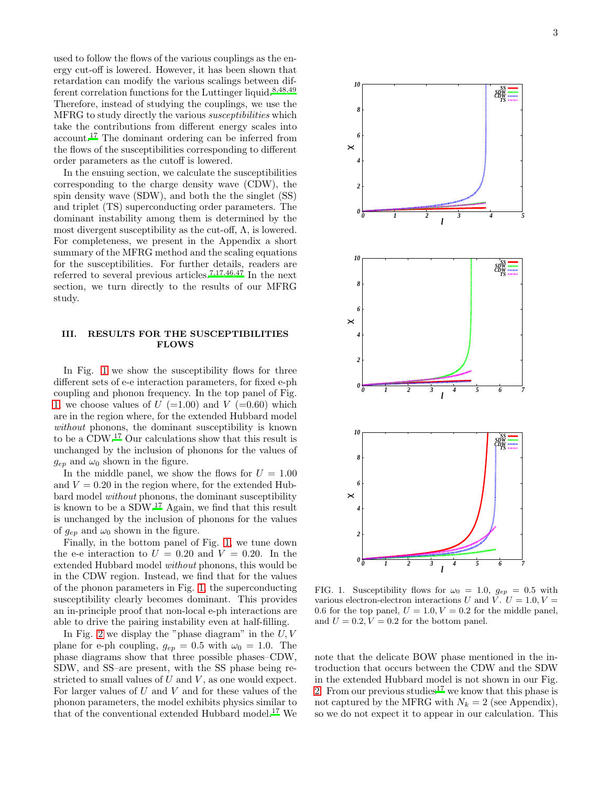used to follow the flows of the various couplings as the energy cut-off is lowered. However, it has been shown that retardation can modify the various scalings between dif-ferent correlation functions for the Luttinger liquid.<sup>[8](#page-7-5)[,48](#page-7-29)[,49](#page-7-30)</sup> Therefore, instead of studying the couplings, we use the MFRG to study directly the various susceptibilities which take the contributions from different energy scales into account.[17](#page-7-8) The dominant ordering can be inferred from the flows of the susceptibilities corresponding to different order parameters as the cutoff is lowered.

In the ensuing section, we calculate the susceptibilities corresponding to the charge density wave (CDW), the spin density wave (SDW), and both the the singlet (SS) and triplet (TS) superconducting order parameters. The dominant instability among them is determined by the most divergent susceptibility as the cut-off,  $\Lambda$ , is lowered. For completeness, we present in the Appendix a short summary of the MFRG method and the scaling equations for the susceptibilities. For further details, readers are referred to several previous articles.<sup>[7](#page-7-28)[,17](#page-7-8)[,46](#page-7-26)[,47](#page-7-27)</sup> In the next section, we turn directly to the results of our MFRG study.

#### III. RESULTS FOR THE SUSCEPTIBILITIES FLOWS

In Fig. [1](#page-3-0) we show the susceptibility flows for three different sets of e-e interaction parameters, for fixed e-ph coupling and phonon frequency. In the top panel of Fig. [1,](#page-3-0) we choose values of  $U$  (=1.00) and  $V$  (=0.60) which are in the region where, for the extended Hubbard model without phonons, the dominant susceptibility is known to be a CDW.[17](#page-7-8) Our calculations show that this result is unchanged by the inclusion of phonons for the values of  $g_{ep}$  and  $\omega_0$  shown in the figure.

In the middle panel, we show the flows for  $U = 1.00$ and  $V = 0.20$  in the region where, for the extended Hubbard model without phonons, the dominant susceptibility is known to be a SDW.[17](#page-7-8) Again, we find that this result is unchanged by the inclusion of phonons for the values of  $g_{ep}$  and  $\omega_0$  shown in the figure.

Finally, in the bottom panel of Fig. [1,](#page-3-0) we tune down the e-e interaction to  $U = 0.20$  and  $V = 0.20$ . In the extended Hubbard model without phonons, this would be in the CDW region. Instead, we find that for the values of the phonon parameters in Fig. [1,](#page-3-0) the superconducting susceptibility clearly becomes dominant. This provides an in-principle proof that non-local e-ph interactions are able to drive the pairing instability even at half-filling.

In Fig. [2](#page-4-0) we display the "phase diagram" in the  $U, V$ plane for e-ph coupling,  $g_{ep} = 0.5$  with  $\omega_0 = 1.0$ . The phase diagrams show that three possible phases–CDW, SDW, and SS–are present, with the SS phase being restricted to small values of  $U$  and  $V$ , as one would expect. For larger values of  $U$  and  $V$  and for these values of the phonon parameters, the model exhibits physics similar to that of the conventional extended Hubbard model.[17](#page-7-8) We



<span id="page-3-0"></span>FIG. 1. Susceptibility flows for  $\omega_0 = 1.0$ ,  $g_{ep} = 0.5$  with various electron-electron interactions U and V.  $U = 1.0, V =$ 0.6 for the top panel,  $U = 1.0, V = 0.2$  for the middle panel, and  $U = 0.2, V = 0.2$  for the bottom panel.

note that the delicate BOW phase mentioned in the introduction that occurs between the CDW and the SDW in the extended Hubbard model is not shown in our Fig. [2.](#page-4-0) From our previous studies<sup>[17](#page-7-8)</sup> we know that this phase is not captured by the MFRG with  $N_k = 2$  (see Appendix), so we do not expect it to appear in our calculation. This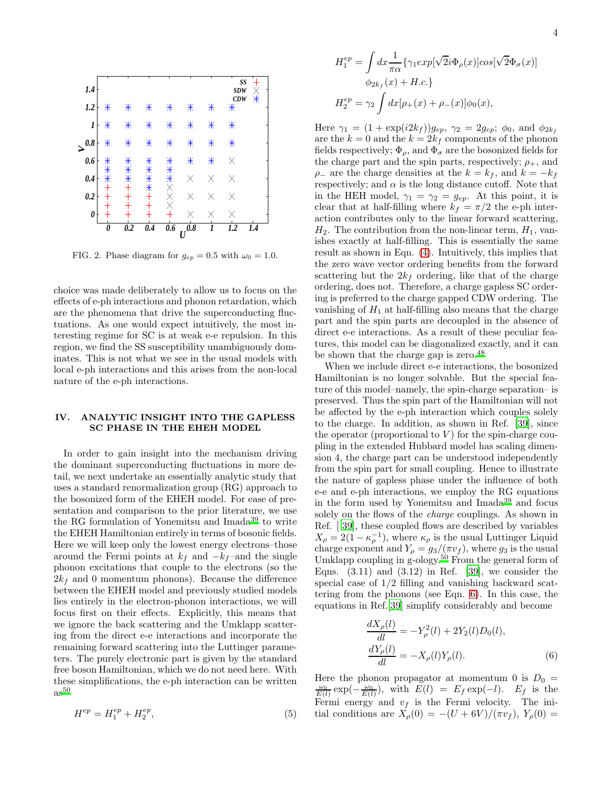

<span id="page-4-0"></span>FIG. 2. Phase diagram for  $g_{ep} = 0.5$  with  $\omega_0 = 1.0$ .

choice was made deliberately to allow us to focus on the effects of e-ph interactions and phonon retardation, which are the phenomena that drive the superconducting fluctuations. As one would expect intuitively, the most interesting regime for SC is at weak e-e repulsion. In this region, we find the SS susceptibility unambiguously dominates. This is not what we see in the usual models with local e-ph interactions and this arises from the non-local nature of the e-ph interactions.

#### IV. ANALYTIC INSIGHT INTO THE GAPLESS SC PHASE IN THE EHEH MODEL

In order to gain insight into the mechanism driving the dominant superconducting fluctuations in more detail, we next undertake an essentially analytic study that uses a standard renormalization group (RG) approach to the bosonized form of the EHEH model. For ease of presentation and comparison to the prior literature, we use the RG formulation of Yonemitsu and Imada[39](#page-7-21) to write the EHEH Hamiltonian entirely in terms of bosonic fields. Here we will keep only the lowest energy electrons–those around the Fermi points at  $k_f$  and  $-k_f$ -and the single phonon excitations that couple to the electrons (so the  $2k_f$  and 0 momentum phonons). Because the difference between the EHEH model and previously studied models lies entirely in the electron-phonon interactions, we will focus first on their effects. Explicitly, this means that we ignore the back scattering and the Umklapp scattering from the direct e-e interactions and incorporate the remaining forward scattering into the Luttinger parameters. The purely electronic part is given by the standard free boson Hamiltonian, which we do not need here. With these simplifications, the e-ph interaction can be written  $as^{50}$  $as^{50}$  $as^{50}$ 

<span id="page-4-1"></span>
$$
H^{ep} = H_1^{ep} + H_2^{ep}, \t\t(5)
$$

$$
H_1^{ep} = \int dx \frac{1}{\pi \alpha} \{ \gamma_1 exp[\sqrt{2}i\Phi_{\rho}(x)]cos[\sqrt{2}\Phi_{\sigma}(x)]
$$
  

$$
\phi_{2k_f}(x) + H.c.\}
$$
  

$$
H_2^{ep} = \gamma_2 \int dx [\rho_+(x) + \rho_-(x)]\phi_0(x),
$$

Here  $\gamma_1 = (1 + \exp(i2k_f))g_{ep}, \gamma_2 = 2g_{ep}; \phi_0, \text{ and } \phi_{2k_f}$ are the  $k = 0$  and the  $k = 2k_f$  components of the phonon fields respectively;  $\Phi_{\rho}$ , and  $\Phi_{\sigma}$  are the bosonized fields for the charge part and the spin parts, respectively;  $\rho_{+}$ , and  $\rho_$  are the charge densities at the  $k = k_f$ , and  $k = -k_f$ respectively; and  $\alpha$  is the long distance cutoff. Note that in the HEH model,  $\gamma_1 = \gamma_2 = g_{ep}$ . At this point, it is clear that at half-filling where  $k_f = \pi/2$  the e-ph interaction contributes only to the linear forward scattering,  $H_2$ . The contribution from the non-linear term,  $H_1$ , vanishes exactly at half-filling. This is essentially the same result as shown in Eqn. [\(4\)](#page-2-0). Intuitively, this implies that the zero wave vector ordering benefits from the forward scattering but the  $2k_f$  ordering, like that of the charge ordering, does not. Therefore, a charge gapless SC ordering is preferred to the charge gapped CDW ordering. The vanishing of  $H_1$  at half-filling also means that the charge part and the spin parts are decoupled in the absence of direct e-e interactions. As a result of these peculiar features, this model can be diagonalized exactly, and it can be shown that the charge gap is zero.<sup>[48](#page-7-29)</sup>

When we include direct e-e interactions, the bosonized Hamiltonian is no longer solvable. But the special feature of this model–namely, the spin-charge separation– is preserved. Thus the spin part of the Hamiltonian will not be affected by the e-ph interaction which couples solely to the charge. In addition, as shown in Ref. [\[39\]](#page-7-21), since the operator (proportional to  $V$ ) for the spin-charge coupling in the extended Hubbard model has scaling dimension 4, the charge part can be understood independently from the spin part for small coupling. Hence to illustrate the nature of gapless phase under the influence of both e-e and e-ph interactions, we employ the RG equations in the form used by Yonemitsu and Imada[39](#page-7-21) and focus solely on the flows of the charge couplings. As shown in Ref. [ [39\]](#page-7-21), these coupled flows are described by variables  $X_{\rho} = 2(1 - \kappa_{\rho}^{-1})$ , where  $\kappa_{\rho}$  is the usual Luttinger Liquid charge exponent and  $Y_\rho = g_3/(\pi v_f)$ , where  $g_3$  is the usual Umklapp coupling in g-ology.[50](#page-7-31) From the general form of Eqns.  $(3.11)$  and  $(3.12)$  in Ref. [\[39\]](#page-7-21), we consider the special case of 1/2 filling and vanishing backward scattering from the phonons (see Eqn. [6\)](#page-4-1). In this case, the equations in Ref.[\[39\]](#page-7-21) simplify considerably and become

$$
\frac{dX_{\rho}(l)}{dl} = -Y_{\rho}^{2}(l) + 2Y_{2}(l)D_{0}(l),
$$
  
\n
$$
\frac{dY_{\rho}(l)}{dl} = -X_{\rho}(l)Y_{\rho}(l).
$$
\n(6)

Here the phonon propagator at momentum 0 is  $D_0 =$  $\frac{\omega_0}{E(l)} \exp(-\frac{\omega_0}{E(l)})$ , with  $E(l) = E_f \exp(-l)$ .  $E_f$  is the Fermi energy and  $v_f$  is the Fermi velocity. The initial conditions are  $X_{\rho}(0) = -(U + 6V)/(\pi v_f)$ ,  $Y_{\rho}(0) =$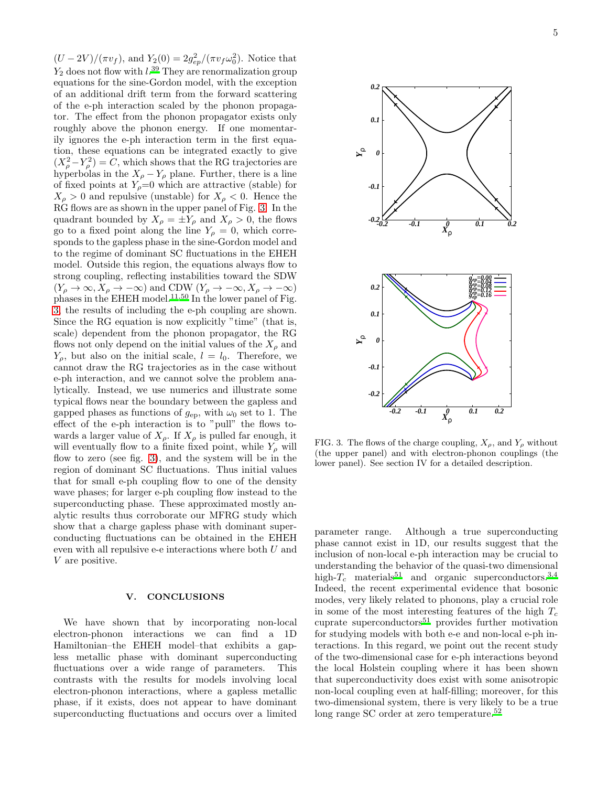$(U - 2V) / (\pi v_f)$ , and  $Y_2(0) = 2g_{ep}^2 / (\pi v_f \omega_0^2)$ . Notice that  $Y_2$  does not flow with  $l.^{39}$  $l.^{39}$  $l.^{39}$  They are renormalization group equations for the sine-Gordon model, with the exception of an additional drift term from the forward scattering of the e-ph interaction scaled by the phonon propagator. The effect from the phonon propagator exists only roughly above the phonon energy. If one momentarily ignores the e-ph interaction term in the first equation, these equations can be integrated exactly to give  $(X_{\rho}^2 - Y_{\rho}^2) = C$ , which shows that the RG trajectories are hyperbolas in the  $X_{\rho} - Y_{\rho}$  plane. Further, there is a line of fixed points at  $Y_\rho=0$  which are attractive (stable) for  $X_{\rho} > 0$  and repulsive (unstable) for  $X_{\rho} < 0$ . Hence the RG flows are as shown in the upper panel of Fig. [3.](#page-5-0) In the quadrant bounded by  $X_{\rho} = \pm Y_{\rho}$  and  $X_{\rho} > 0$ , the flows go to a fixed point along the line  $Y_\rho = 0$ , which corresponds to the gapless phase in the sine-Gordon model and to the regime of dominant SC fluctuations in the EHEH model. Outside this region, the equations always flow to strong coupling, reflecting instabilities toward the SDW  $(Y_{\rho} \to \infty, X_{\rho} \to -\infty)$  and CDW  $(Y_{\rho} \to -\infty, X_{\rho} \to -\infty)$ phases in the EHEH model.<sup>[11](#page-7-32)[,50](#page-7-31)</sup> In the lower panel of Fig. [3,](#page-5-0) the results of including the e-ph coupling are shown. Since the RG equation is now explicitly "time" (that is, scale) dependent from the phonon propagator, the RG flows not only depend on the initial values of the  $X_{\rho}$  and  $Y_{\rho}$ , but also on the initial scale,  $l = l_0$ . Therefore, we cannot draw the RG trajectories as in the case without e-ph interaction, and we cannot solve the problem analytically. Instead, we use numerics and illustrate some typical flows near the boundary between the gapless and gapped phases as functions of  $g_{ep}$ , with  $\omega_0$  set to 1. The effect of the e-ph interaction is to "pull" the flows towards a larger value of  $X_{\rho}$ . If  $X_{\rho}$  is pulled far enough, it will eventually flow to a finite fixed point, while  $Y_\rho$  will flow to zero (see fig. [3\)](#page-5-0), and the system will be in the region of dominant SC fluctuations. Thus initial values that for small e-ph coupling flow to one of the density wave phases; for larger e-ph coupling flow instead to the superconducting phase. These approximated mostly analytic results thus corroborate our MFRG study which show that a charge gapless phase with dominant superconducting fluctuations can be obtained in the EHEH even with all repulsive e-e interactions where both U and V are positive.

#### V. CONCLUSIONS

We have shown that by incorporating non-local electron-phonon interactions we can find a 1D Hamiltonian–the EHEH model–that exhibits a gapless metallic phase with dominant superconducting fluctuations over a wide range of parameters. This contrasts with the results for models involving local electron-phonon interactions, where a gapless metallic phase, if it exists, does not appear to have dominant superconducting fluctuations and occurs over a limited



<span id="page-5-0"></span>FIG. 3. The flows of the charge coupling,  $X_{\rho}$ , and  $Y_{\rho}$  without (the upper panel) and with electron-phonon couplings (the lower panel). See section IV for a detailed description.

parameter range. Although a true superconducting phase cannot exist in 1D, our results suggest that the inclusion of non-local e-ph interaction may be crucial to understanding the behavior of the quasi-two dimensional high- $T_c$  materials<sup>[51](#page-7-33)</sup> and organic superconductors.<sup>[3](#page-7-34)[,4](#page-7-2)</sup> Indeed, the recent experimental evidence that bosonic modes, very likely related to phonons, play a crucial role in some of the most interesting features of the high  $T_c$ cuprate superconductors<sup>[51](#page-7-33)</sup> provides further motivation for studying models with both e-e and non-local e-ph interactions. In this regard, we point out the recent study of the two-dimensional case for e-ph interactions beyond the local Holstein coupling where it has been shown that superconductivity does exist with some anisotropic non-local coupling even at half-filling; moreover, for this two-dimensional system, there is very likely to be a true long range SC order at zero temperature.<sup>[52](#page-7-35)</sup>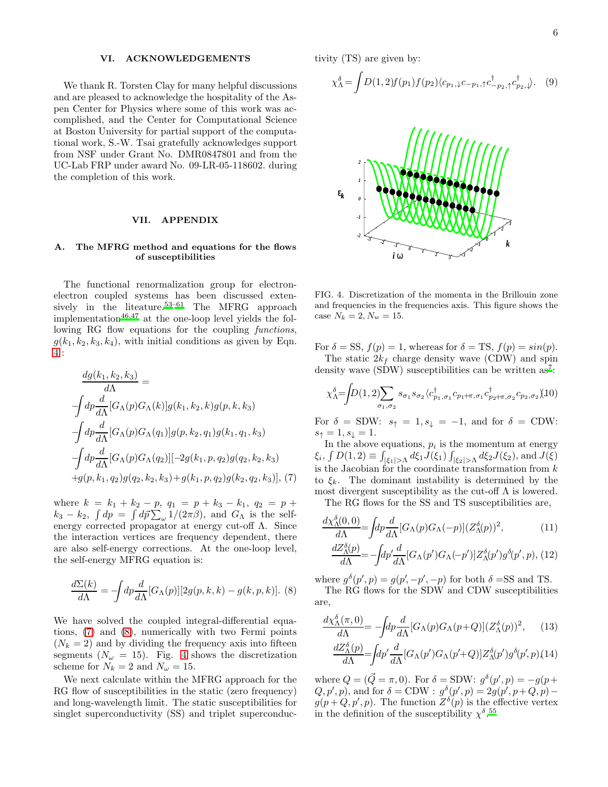#### VI. ACKNOWLEDGEMENTS

We thank R. Torsten Clay for many helpful discussions and are pleased to acknowledge the hospitality of the Aspen Center for Physics where some of this work was accomplished, and the Center for Computational Science at Boston University for partial support of the computational work, S.-W. Tsai gratefully acknowledges support from NSF under Grant No. DMR0847801 and from the UC-Lab FRP under award No. 09-LR-05-118602. during the completion of this work.

#### VII. APPENDIX

#### A. The MFRG method and equations for the flows of susceptibilities

The functional renormalization group for electronelectron coupled systems has been discussed exten-sively in the liteature.<sup>[53](#page-7-36)[–61](#page-7-37)</sup> The MFRG approach implementation $46,47$  $46,47$  at the one-loop level yields the following RG flow equations for the coupling *functions*,  $g(k_1, k_2, k_3, k_4)$ , with initial conditions as given by Eqn. [4](#page-2-0) :

<span id="page-6-0"></span>
$$
\frac{dg(k_1, k_2, k_3)}{d\Lambda} =
$$
\n
$$
\int dp \frac{d}{d\Lambda} [G_{\Lambda}(p)G_{\Lambda}(k)]g(k_1, k_2, k)g(p, k, k_3)
$$
\n
$$
\int dp \frac{d}{d\Lambda} [G_{\Lambda}(p)G_{\Lambda}(q_1)]g(p, k_2, q_1)g(k_1, q_1, k_3)
$$
\n
$$
\int dp \frac{d}{d\Lambda} [G_{\Lambda}(p)G_{\Lambda}(q_2)][-2g(k_1, p, q_2)g(q_2, k_2, k_3)
$$
\n
$$
+g(p, k_1, q_2)g(q_2, k_2, k_3) + g(k_1, p, q_2)g(k_2, q_2, k_3)], (7)
$$

where  $k = k_1 + k_2 - p$ ,  $q_1 = p + k_3 - k_1$ ,  $q_2 = p +$  $k_3 - k_2$ ,  $\int dp = \int d\vec{p} \sum_{\omega} 1/(2\pi\beta)$ , and  $G_{\Lambda}$  is the selfenergy corrected propagator at energy cut-off  $\Lambda$ . Since the interaction vertices are frequency dependent, there are also self-energy corrections. At the one-loop level, the self-energy MFRG equation is:

<span id="page-6-1"></span>
$$
\frac{d\Sigma(k)}{d\Lambda} = -\int dp \frac{d}{d\Lambda} [G_{\Lambda}(p)][2g(p,k,k) - g(k,p,k)]. \tag{8}
$$

We have solved the coupled integral-differential equations, [\(7\)](#page-6-0) and [\(8\)](#page-6-1), numerically with two Fermi points  $(N_k = 2)$  and by dividing the frequency axis into fifteen segments  $(N_\omega = 15)$ . Fig. [4](#page-6-2) shows the discretization scheme for  $N_k = 2$  and  $N_\omega = 15$ .

We next calculate within the MFRG approach for the RG flow of susceptibilities in the static (zero frequency) and long-wavelength limit. The static susceptibilities for singlet superconductivity (SS) and triplet superconductivity (TS) are given by:

$$
\chi_{\Lambda}^{\delta} = \int D(1,2)f(p_1)f(p_2)\langle c_{p_1,\downarrow}c_{-p_1,\uparrow}c_{-p_2,\uparrow}^{\dagger}c_{p_2,\downarrow}^{\dagger} \rangle. \tag{9}
$$



<span id="page-6-2"></span>FIG. 4. Discretization of the momenta in the Brillouin zone and frequencies in the frequencies axis. This figure shows the case  $N_k = 2, N_w = 15$ .

For  $\delta = SS$ ,  $f(p) = 1$ , whereas for  $\delta = TS$ ,  $f(p) = sin(p)$ . The static  $2k_f$  charge density wave (CDW) and spin

density wave (SDW) susceptibilities can be written as<sup>[7](#page-7-28)</sup>:

$$
\chi^{\delta}_{\Lambda} = \int D(1,2) \sum_{\sigma_1, \sigma_2} s_{\sigma_1} s_{\sigma_2} \langle c^{\dagger}_{p_1, \sigma_1} c_{p_1 + \pi, \sigma_1} c^{\dagger}_{p_2 + \pi, \sigma_2} c_{p_2, \sigma_2} \rangle (10)
$$

For  $\delta = SDW$ :  $s_{\uparrow} = 1, s_{\downarrow} = -1$ , and for  $\delta = CDW$ :  $s_{\uparrow} = 1, s_{\downarrow} = 1.$ 

In the above equations,  $p_i$  is the momentum at energy  $\xi_i$ ,  $\int D(1,2) \equiv \int_{|\xi_1|>\Lambda} d\xi_1 J(\xi_1) \int_{|\xi_2|>\Lambda} d\xi_2 J(\xi_2)$ , and  $J(\xi)$ is the Jacobian for the coordinate transformation from  $k$ to  $\xi_k$ . The dominant instability is determined by the most divergent susceptibility as the cut-off  $\Lambda$  is lowered.

The RG flows for the SS and TS susceptibilities are,

$$
\frac{d\chi^{\delta}_{\Lambda}(0,0)}{d\Lambda} = \int dp \frac{d}{d\Lambda} [G_{\Lambda}(p)G_{\Lambda}(-p)] (Z^{\delta}_{\Lambda}(p))^{2}, \qquad (11)
$$

$$
\frac{dZ^{\delta}_{\Lambda}(p)}{d\Lambda} = -\int dp' \frac{d}{d\Lambda} [G_{\Lambda}(p')G_{\Lambda}(-p')] Z^{\delta}_{\Lambda}(p')g^{\delta}(p',p), (12)
$$

where  $g^{\delta}(p', p) = g(p', -p', -p)$  for both  $\delta = SS$  and TS. The RG flows for the SDW and CDW susceptibilities are,

$$
\frac{d\chi^{\delta}_{\Lambda}(\pi,0)}{d\Lambda} = -\int dp \frac{d}{d\Lambda} [G_{\Lambda}(p)G_{\Lambda}(p+Q)] (Z^{\delta}_{\Lambda}(p))^2, \quad (13)
$$

$$
\frac{dZ^{\delta}_{\Lambda}(p)}{d\Lambda} = \int dp' \frac{d}{d\Lambda} [G_{\Lambda}(p')G_{\Lambda}(p'+Q)] Z^{\delta}_{\Lambda}(p') g^{\delta}(p',p)(14)
$$

where  $Q = (\vec{Q} = \pi, 0)$ . For  $\delta = \text{SDW}$ :  $g^{\delta}(p', p) = -g(p + \delta)$  $(Q, p', p)$ , and for  $\delta = \text{CDW}$ :  $g^{\delta}(p', p) = 2g(p', p + Q, p)$  $g(p+Q, p', p)$ . The function  $Z^{\delta}(p)$  is the effective vertex in the definition of the susceptibility  $\chi^{\delta}$ .<sup>[55](#page-7-38)</sup>